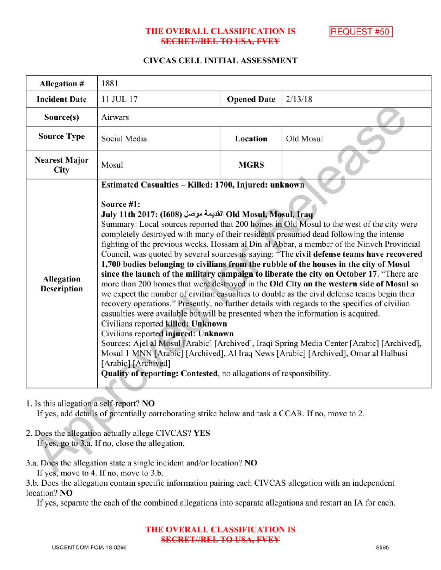## THE OVERALL CLASSIFICATION IS REQUEST #50 **SECRET//REL TO USA, FVEY**

## CIVCAS CELL INITIAL ASSESSMENT

| Allegation #                            | 1881                                                                                                                                                                                                                                                                                                                                                                                                                                                                                                                                                                                                                                                                                                                                                                                                                                                                                                                                                                                                                                                                                                                                                                                                                                                                                                                                                                                                                                                  |                    |           |
|-----------------------------------------|-------------------------------------------------------------------------------------------------------------------------------------------------------------------------------------------------------------------------------------------------------------------------------------------------------------------------------------------------------------------------------------------------------------------------------------------------------------------------------------------------------------------------------------------------------------------------------------------------------------------------------------------------------------------------------------------------------------------------------------------------------------------------------------------------------------------------------------------------------------------------------------------------------------------------------------------------------------------------------------------------------------------------------------------------------------------------------------------------------------------------------------------------------------------------------------------------------------------------------------------------------------------------------------------------------------------------------------------------------------------------------------------------------------------------------------------------------|--------------------|-----------|
| <b>Incident Date</b>                    | 11 JUL 17                                                                                                                                                                                                                                                                                                                                                                                                                                                                                                                                                                                                                                                                                                                                                                                                                                                                                                                                                                                                                                                                                                                                                                                                                                                                                                                                                                                                                                             | <b>Opened Date</b> | 2/13/18   |
| Source(s)                               | Airwars                                                                                                                                                                                                                                                                                                                                                                                                                                                                                                                                                                                                                                                                                                                                                                                                                                                                                                                                                                                                                                                                                                                                                                                                                                                                                                                                                                                                                                               |                    |           |
| <b>Source Type</b>                      | Social Media                                                                                                                                                                                                                                                                                                                                                                                                                                                                                                                                                                                                                                                                                                                                                                                                                                                                                                                                                                                                                                                                                                                                                                                                                                                                                                                                                                                                                                          | Location           | Old Mosul |
| <b>Nearest Major</b><br>City            | Mosul                                                                                                                                                                                                                                                                                                                                                                                                                                                                                                                                                                                                                                                                                                                                                                                                                                                                                                                                                                                                                                                                                                                                                                                                                                                                                                                                                                                                                                                 | <b>MGRS</b>        |           |
| <b>Allegation</b><br><b>Description</b> | Estimated Casualties - Killed: 1700, Injured: unknown<br>Source #1:<br>July 11th 2017: (1608) القديمة موصل Old Mosul, Mosul, Iraq<br>Summary: Local sources reported that 200 homes in Old Mosul to the west of the city were<br>completely destroyed with many of their residents presumed dead following the intense<br>fighting of the previous weeks. Hossam al Din al Abbar, a member of the Ninveh Provincial<br>Council, was quoted by several sources as saying: "The civil defense teams have recovered<br>1,700 bodies belonging to civilians from the rubble of the houses in the city of Mosul<br>since the launch of the military campaign to liberate the city on October 17. "There are<br>more than 200 homes that were destroyed in the Old City on the western side of Mosul so<br>we expect the number of civilian casualties to double as the civil defense teams begin their<br>recovery operations." Presently, no further details with regards to the specifics of civilian<br>casualties were available but will be presented when the information is acquired.<br>Civilians reported killed: Unknown<br>Civilians reported injured: Unknown<br>Sources: Ajel al Mosul [Arabic] [Archived], Iraqi Spring Media Center [Arabic] [Archived],<br>Mosul 1 MNN [Arabic] [Archived], Al Iraq News [Arabic] [Archived], Omar al Halbusi<br>[Arabic] [Archived]<br>Quality of reporting: Contested, no allegations of responsibility. |                    |           |

#### 1. Is this allegation a self-report? NO

If yes, add details of potentially corroborating strike below and task a CCAR. If no, move to 2.

- 2. Does the allegation actually allege CIVCAS? YES If yes, go to 3.a. If no, close the allegation.
- 3.a. Does the allegation state a single incident and/or location? NO If yes, move to 4. If no, move to 3.b.

3.b. Does the allegation contain specific information pairing each CIVCAS allegation with an independent location? NO

Ifyes, separate the each of the combined allegations into separate allegations and restart an IA for each.

#### THE OVERALL CLASSIFICATION IS **SECRET//REL TO USA, FVEY**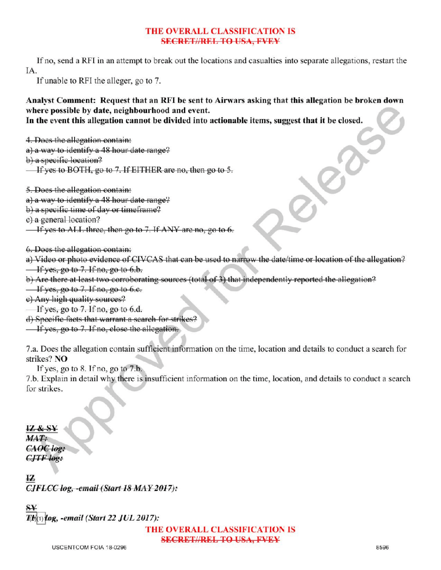# THE OVERALL CLASSIFICATION IS **SECRETIAREL TO USA, FVEY**

If no, send a RFI in an attempt to break out the locations and casualties into separate allegations, restart the IA

If unable to RFI the alleger, go to 7.

Analyst Comment: Request that an RFI be sent to Airwars asking that this allegation be broken down where possible by date, neighbourhood and event.

In the event this allegation cannot be divided into actionable items, suggest that it be closed.

4. Does the allegation contain:

a) a way to identify a 48 hour date range?

b) a specific location?

If yes to BOTH, go to 7. If EITHER are no, then go to 5.

5. Does the allegation contain :

a) a way to identify a 48 hour date range?

b) a specific time of day or timeframe?

c) a general location?

Ifyes to ALL three, then go the range?<br>frame?<br>to 7. If ANY are no, go to 6.

6.Does the allegation contain :

a) Video or photo evidence of CIVCAS that can be used to narrow the date/ time or location of the allegation?

 $\frac{1}{1}$  If yes, go to 7. If no, go to 6.b.

b) Are there at least two corroborating sources (total of 3) that independently reported the allegation?

 $\frac{1}{1}$  If yes, go to 7. If no, go to 6.c.

e) Any high quality sources?

If yes, go to  $7.$  If no, go to  $6.d.$ 

d) Specific facts that warrant a search for strikes?

 $\frac{1}{1}$  If yes, go to 7. If no, close the allegation.

7.a. Does the allegation contain sufficient information on the time, location and details to conduct <sup>a</sup> search for strikes? NO

If yes, go to 8. If no, go to  $7.h$ .

7.b. Explain in detail why there is insufficient information on the time, location, and details to conduct <sup>a</sup> search for strikes.

IZ &  $MAT:$ CAOC log:  $CJTF$  log:

ŁZ  $C_{\textit{JFLCC log, - email (Start 18 MAX 2017)}}$ :

¥ og, -email (Start 22 JUL 2017):

THE OVERALL CLASSIFICATION IS SECRET//REL TO USA, FVEY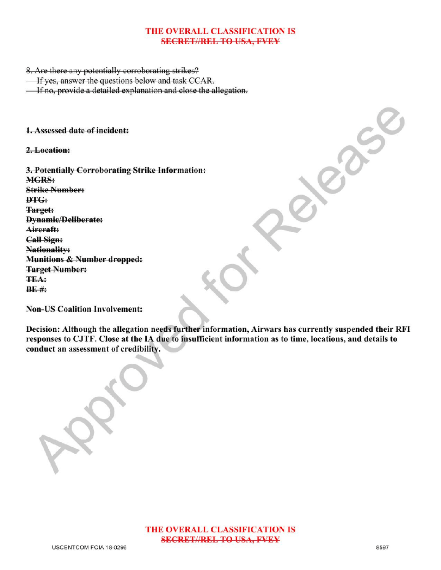## THE OVERALL CLASSIFICATION IS **SECRET//REL TO USA, FVEY**

8. Are there any potentially corroborating strikes?

If yes, answer the questions below and task  $CCAR$ .

**If no, provide a detailed explanation and close the allegation.** 

1. Assessed date of incident:

2. Location:

3. Potentially Corroborating Strike Information: MGRS: **Strike Number:**  $\mathbf{D} \mathbf{T} \mathbf{G}$ : Target: Dynamic/Deliberate: Aircraft: Call Sign: Nationality: Munitions & Number dropped: Target Number: **TEA:**  $BE$  #: France

Non-US Coalition Involvement:

Decision: Although the allegation needs further information, Airwars has currently suspended their RFI responses to CJTF. Close at the IA due to insufficient information as to time, locations, and details to conduct an assessment of credibility.